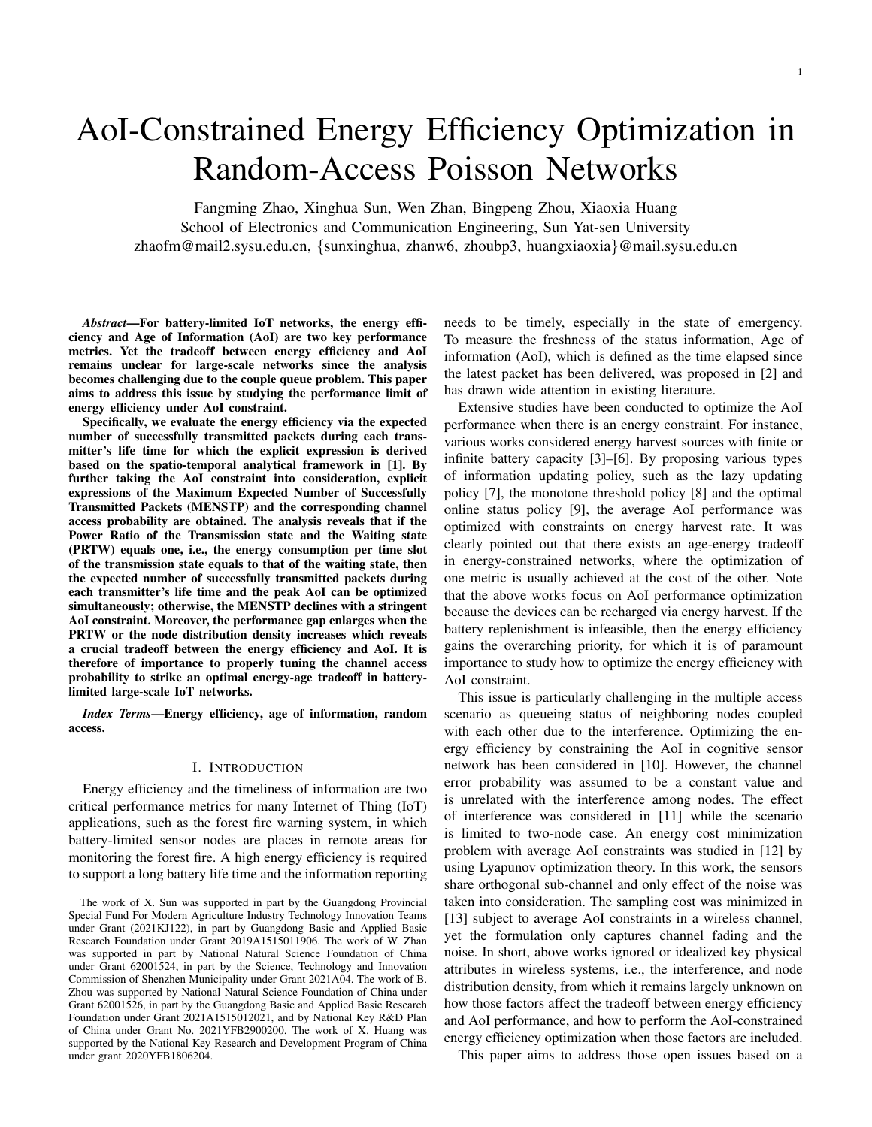# AoI-Constrained Energy Efficiency Optimization in Random-Access Poisson Networks

Fangming Zhao, Xinghua Sun, Wen Zhan, Bingpeng Zhou, Xiaoxia Huang School of Electronics and Communication Engineering, Sun Yat-sen University zhaofm@mail2.sysu.edu.cn, {sunxinghua, zhanw6, zhoubp3, huangxiaoxia}@mail.sysu.edu.cn

*Abstract*—For battery-limited IoT networks, the energy efficiency and Age of Information (AoI) are two key performance metrics. Yet the tradeoff between energy efficiency and AoI remains unclear for large-scale networks since the analysis becomes challenging due to the couple queue problem. This paper aims to address this issue by studying the performance limit of energy efficiency under AoI constraint.

Specifically, we evaluate the energy efficiency via the expected number of successfully transmitted packets during each transmitter's life time for which the explicit expression is derived based on the spatio-temporal analytical framework in [1]. By further taking the AoI constraint into consideration, explicit expressions of the Maximum Expected Number of Successfully Transmitted Packets (MENSTP) and the corresponding channel access probability are obtained. The analysis reveals that if the Power Ratio of the Transmission state and the Waiting state (PRTW) equals one, i.e., the energy consumption per time slot of the transmission state equals to that of the waiting state, then the expected number of successfully transmitted packets during each transmitter's life time and the peak AoI can be optimized simultaneously; otherwise, the MENSTP declines with a stringent AoI constraint. Moreover, the performance gap enlarges when the PRTW or the node distribution density increases which reveals a crucial tradeoff between the energy efficiency and AoI. It is therefore of importance to properly tuning the channel access probability to strike an optimal energy-age tradeoff in batterylimited large-scale IoT networks.

*Index Terms*—Energy efficiency, age of information, random access.

# I. INTRODUCTION

Energy efficiency and the timeliness of information are two critical performance metrics for many Internet of Thing (IoT) applications, such as the forest fire warning system, in which battery-limited sensor nodes are places in remote areas for monitoring the forest fire. A high energy efficiency is required to support a long battery life time and the information reporting

needs to be timely, especially in the state of emergency. To measure the freshness of the status information, Age of information (AoI), which is defined as the time elapsed since the latest packet has been delivered, was proposed in [2] and has drawn wide attention in existing literature.

Extensive studies have been conducted to optimize the AoI performance when there is an energy constraint. For instance, various works considered energy harvest sources with finite or infinite battery capacity [3]–[6]. By proposing various types of information updating policy, such as the lazy updating policy [7], the monotone threshold policy [8] and the optimal online status policy [9], the average AoI performance was optimized with constraints on energy harvest rate. It was clearly pointed out that there exists an age-energy tradeoff in energy-constrained networks, where the optimization of one metric is usually achieved at the cost of the other. Note that the above works focus on AoI performance optimization because the devices can be recharged via energy harvest. If the battery replenishment is infeasible, then the energy efficiency gains the overarching priority, for which it is of paramount importance to study how to optimize the energy efficiency with AoI constraint.

This issue is particularly challenging in the multiple access scenario as queueing status of neighboring nodes coupled with each other due to the interference. Optimizing the energy efficiency by constraining the AoI in cognitive sensor network has been considered in [10]. However, the channel error probability was assumed to be a constant value and is unrelated with the interference among nodes. The effect of interference was considered in [11] while the scenario is limited to two-node case. An energy cost minimization problem with average AoI constraints was studied in [12] by using Lyapunov optimization theory. In this work, the sensors share orthogonal sub-channel and only effect of the noise was taken into consideration. The sampling cost was minimized in [13] subject to average AoI constraints in a wireless channel, yet the formulation only captures channel fading and the noise. In short, above works ignored or idealized key physical attributes in wireless systems, i.e., the interference, and node distribution density, from which it remains largely unknown on how those factors affect the tradeoff between energy efficiency and AoI performance, and how to perform the AoI-constrained energy efficiency optimization when those factors are included.

This paper aims to address those open issues based on a

The work of X. Sun was supported in part by the Guangdong Provincial Special Fund For Modern Agriculture Industry Technology Innovation Teams under Grant (2021KJ122), in part by Guangdong Basic and Applied Basic Research Foundation under Grant 2019A1515011906. The work of W. Zhan was supported in part by National Natural Science Foundation of China under Grant 62001524, in part by the Science, Technology and Innovation Commission of Shenzhen Municipality under Grant 2021A04. The work of B. Zhou was supported by National Natural Science Foundation of China under Grant 62001526, in part by the Guangdong Basic and Applied Basic Research Foundation under Grant 2021A1515012021, and by National Key R&D Plan of China under Grant No. 2021YFB2900200. The work of X. Huang was supported by the National Key Research and Development Program of China under grant 2020YFB1806204.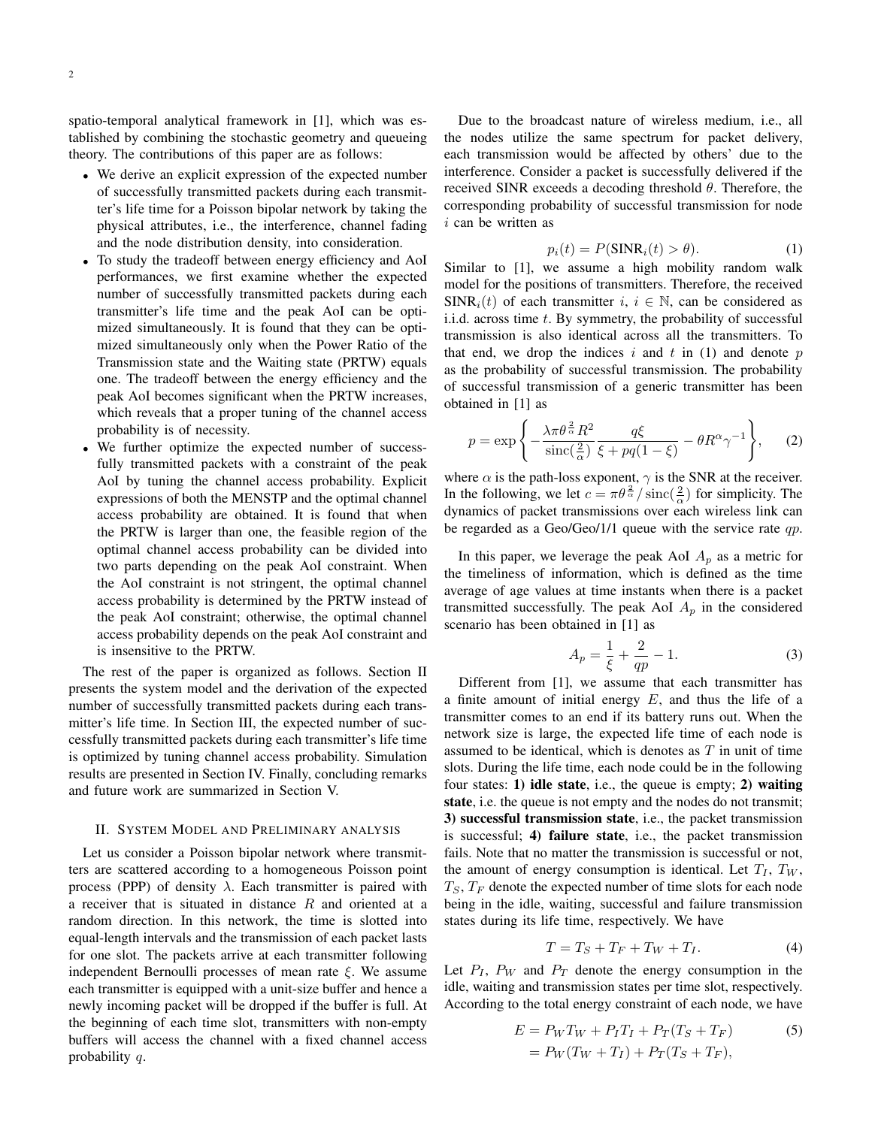spatio-temporal analytical framework in [1], which was established by combining the stochastic geometry and queueing theory. The contributions of this paper are as follows:

- We derive an explicit expression of the expected number of successfully transmitted packets during each transmitter's life time for a Poisson bipolar network by taking the physical attributes, i.e., the interference, channel fading and the node distribution density, into consideration.
- To study the tradeoff between energy efficiency and AoI performances, we first examine whether the expected number of successfully transmitted packets during each transmitter's life time and the peak AoI can be optimized simultaneously. It is found that they can be optimized simultaneously only when the Power Ratio of the Transmission state and the Waiting state (PRTW) equals one. The tradeoff between the energy efficiency and the peak AoI becomes significant when the PRTW increases, which reveals that a proper tuning of the channel access probability is of necessity.
- We further optimize the expected number of successfully transmitted packets with a constraint of the peak AoI by tuning the channel access probability. Explicit expressions of both the MENSTP and the optimal channel access probability are obtained. It is found that when the PRTW is larger than one, the feasible region of the optimal channel access probability can be divided into two parts depending on the peak AoI constraint. When the AoI constraint is not stringent, the optimal channel access probability is determined by the PRTW instead of the peak AoI constraint; otherwise, the optimal channel access probability depends on the peak AoI constraint and is insensitive to the PRTW.

The rest of the paper is organized as follows. Section II presents the system model and the derivation of the expected number of successfully transmitted packets during each transmitter's life time. In Section III, the expected number of successfully transmitted packets during each transmitter's life time is optimized by tuning channel access probability. Simulation results are presented in Section IV. Finally, concluding remarks and future work are summarized in Section V.

## II. SYSTEM MODEL AND PRELIMINARY ANALYSIS

Let us consider a Poisson bipolar network where transmitters are scattered according to a homogeneous Poisson point process (PPP) of density  $\lambda$ . Each transmitter is paired with a receiver that is situated in distance R and oriented at a random direction. In this network, the time is slotted into equal-length intervals and the transmission of each packet lasts for one slot. The packets arrive at each transmitter following independent Bernoulli processes of mean rate  $\xi$ . We assume each transmitter is equipped with a unit-size buffer and hence a newly incoming packet will be dropped if the buffer is full. At the beginning of each time slot, transmitters with non-empty buffers will access the channel with a fixed channel access probability q.

Due to the broadcast nature of wireless medium, i.e., all the nodes utilize the same spectrum for packet delivery, each transmission would be affected by others' due to the interference. Consider a packet is successfully delivered if the received SINR exceeds a decoding threshold  $\theta$ . Therefore, the corresponding probability of successful transmission for node  $i$  can be written as

$$
p_i(t) = P(SINR_i(t) > \theta).
$$
 (1)

Similar to [1], we assume a high mobility random walk model for the positions of transmitters. Therefore, the received  $SINR<sub>i</sub>(t)$  of each transmitter  $i, i \in \mathbb{N}$ , can be considered as i.i.d. across time  $t$ . By symmetry, the probability of successful transmission is also identical across all the transmitters. To that end, we drop the indices  $i$  and  $t$  in (1) and denote  $p$ as the probability of successful transmission. The probability of successful transmission of a generic transmitter has been obtained in [1] as

$$
p = \exp\left\{-\frac{\lambda\pi\theta^{\frac{2}{\alpha}}R^2}{\text{sinc}(\frac{2}{\alpha})}\frac{q\xi}{\xi + pq(1-\xi)} - \theta R^{\alpha}\gamma^{-1}\right\},\qquad(2)
$$

where  $\alpha$  is the path-loss exponent,  $\gamma$  is the SNR at the receiver. In the following, we let  $c = \pi \theta \frac{2}{\alpha} / \operatorname{sinc}(\frac{2}{\alpha})$  for simplicity. The dynamics of packet transmissions over each wireless link can be regarded as a Geo/Geo/1/1 queue with the service rate  $qp$ .

In this paper, we leverage the peak AoI  $A_p$  as a metric for the timeliness of information, which is defined as the time average of age values at time instants when there is a packet transmitted successfully. The peak AoI  $A_p$  in the considered scenario has been obtained in [1] as

$$
A_p = \frac{1}{\xi} + \frac{2}{qp} - 1.
$$
 (3)

Different from [1], we assume that each transmitter has a finite amount of initial energy  $E$ , and thus the life of a transmitter comes to an end if its battery runs out. When the network size is large, the expected life time of each node is assumed to be identical, which is denotes as  $T$  in unit of time slots. During the life time, each node could be in the following four states: 1) idle state, i.e., the queue is empty; 2) waiting state, i.e. the queue is not empty and the nodes do not transmit; 3) successful transmission state, i.e., the packet transmission is successful; 4) failure state, i.e., the packet transmission fails. Note that no matter the transmission is successful or not, the amount of energy consumption is identical. Let  $T_I$ ,  $T_W$ ,  $T<sub>S</sub>, T<sub>F</sub>$  denote the expected number of time slots for each node being in the idle, waiting, successful and failure transmission states during its life time, respectively. We have

$$
T = T_S + T_F + T_W + T_I. \tag{4}
$$

Let  $P_I$ ,  $P_W$  and  $P_T$  denote the energy consumption in the idle, waiting and transmission states per time slot, respectively. According to the total energy constraint of each node, we have

$$
E = P_W T_W + P_T T_I + P_T (T_S + T_F)
$$
(5)  
=  $P_W (T_W + T_I) + P_T (T_S + T_F)$ ,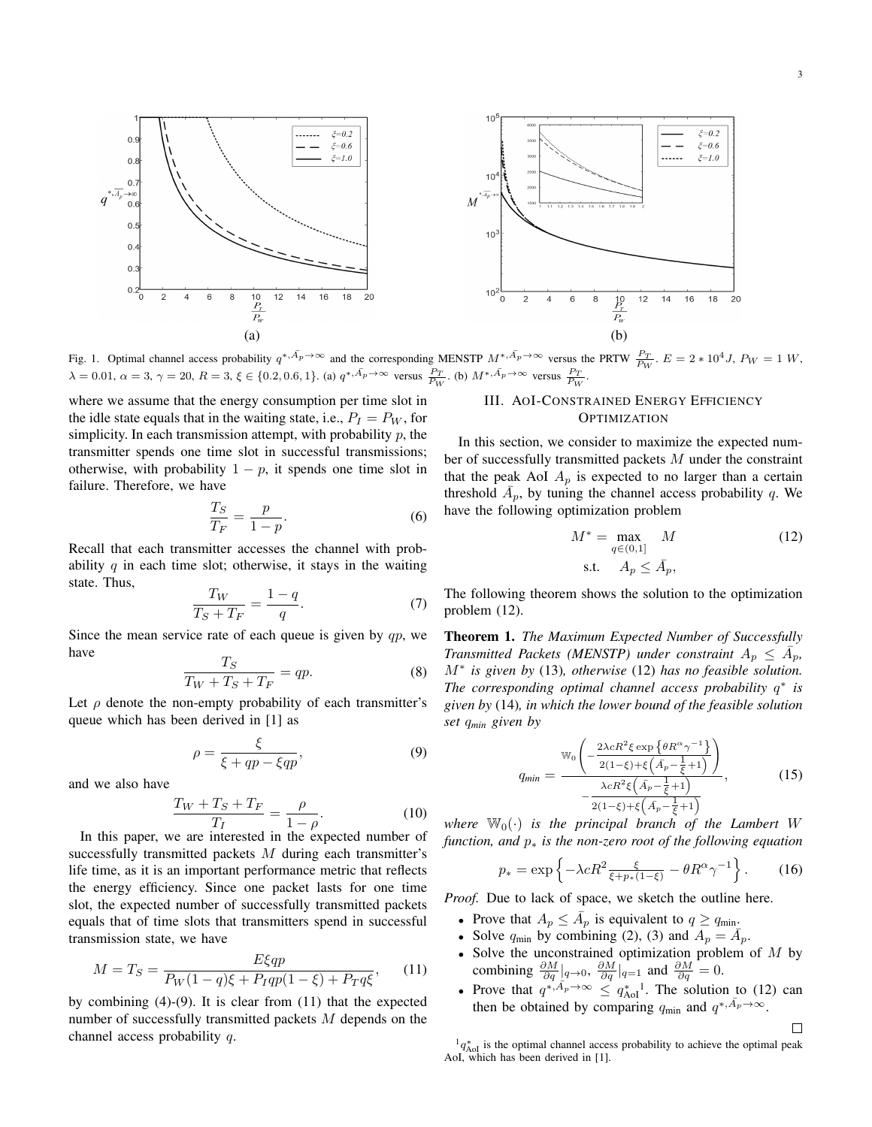

Fig. 1. Optimal channel access probability  $q^{*,\bar{A}_p \to \infty}$  and the corresponding MENSTP  $M^{*,\bar{A}_p \to \infty}$  versus the PRTW  $\frac{P_T}{P_W}$ .  $E = 2 * 10^4 J$ ,  $P_W = 1 W$ ,  $\lambda = 0.01, \ \alpha = 3, \ \gamma = 20, \ R = 3, \ \xi \in \{0.2, 0.6, 1\}.$  (a)  $q^{*, \bar{A}_p \to \infty}$  versus  $\frac{P_T}{P_W}$ . (b)  $M^{*, \bar{A}_p \to \infty}$  versus  $\frac{P_T}{P_W}$ .

where we assume that the energy consumption per time slot in the idle state equals that in the waiting state, i.e.,  $P_I = P_W$ , for simplicity. In each transmission attempt, with probability  $p$ , the transmitter spends one time slot in successful transmissions; otherwise, with probability  $1 - p$ , it spends one time slot in failure. Therefore, we have

$$
\frac{T_S}{T_F} = \frac{p}{1 - p}.\tag{6}
$$

Recall that each transmitter accesses the channel with probability q in each time slot; otherwise, it stays in the waiting state. Thus,

$$
\frac{T_W}{T_S + T_F} = \frac{1 - q}{q}.\tag{7}
$$

Since the mean service rate of each queue is given by  $qp$ , we have

$$
\frac{T_S}{T_W + T_S + T_F} = qp.
$$
\n(8)

Let  $\rho$  denote the non-empty probability of each transmitter's queue which has been derived in [1] as

$$
\rho = \frac{\xi}{\xi + qp - \xi qp},\tag{9}
$$

and we also have

$$
\frac{T_W + T_S + T_F}{T_I} = \frac{\rho}{1 - \rho}.\tag{10}
$$

In this paper, we are interested in the expected number of successfully transmitted packets  $M$  during each transmitter's life time, as it is an important performance metric that reflects the energy efficiency. Since one packet lasts for one time slot, the expected number of successfully transmitted packets equals that of time slots that transmitters spend in successful transmission state, we have

$$
M = T_S = \frac{E\xi qp}{P_W(1-q)\xi + P_Iqp(1-\xi) + P_Tq\xi},\qquad(11)
$$

by combining (4)-(9). It is clear from (11) that the expected number of successfully transmitted packets M depends on the channel access probability q.

# III. AOI-CONSTRAINED ENERGY EFFICIENCY **OPTIMIZATION**

In this section, we consider to maximize the expected number of successfully transmitted packets M under the constraint that the peak AoI  $A_p$  is expected to no larger than a certain threshold  $\overline{A}_p$ , by tuning the channel access probability q. We have the following optimization problem

$$
M^* = \max_{q \in (0,1]} M
$$
  
s.t.  $A_p \le \bar{A}_p$ , (12)

The following theorem shows the solution to the optimization problem (12).

Theorem 1. *The Maximum Expected Number of Successfully Transmitted Packets (MENSTP) under constraint*  $A_p \leq \overline{A}_p$ , M<sup>∗</sup> *is given by* (13)*, otherwise* (12) *has no feasible solution. The corresponding optimal channel access probability* q ∗ *is given by* (14)*, in which the lower bound of the feasible solution set* q*min given by*

$$
q_{min} = \frac{\mathbb{W}_0\left(-\frac{2\lambda cR^2\xi\exp\left\{\theta R^{\alpha}\gamma^{-1}\right\}}{2(1-\xi)+\xi\left(\bar{A}_p-\frac{1}{\xi}+1\right)}\right)}{-\frac{\lambda cR^2\xi\left(\bar{A}_p-\frac{1}{\xi}+1\right)}{2(1-\xi)+\xi\left(\bar{A}_p-\frac{1}{\xi}+1\right)}},\tag{15}
$$

where  $\mathbb{W}_0(\cdot)$  *is the principal branch of the Lambert W function, and* p<sup>∗</sup> *is the non-zero root of the following equation*

$$
p_* = \exp\left\{-\lambda c R^2 \frac{\xi}{\xi + p_*(1-\xi)} - \theta R^{\alpha} \gamma^{-1}\right\}.
$$
 (16)

*Proof.* Due to lack of space, we sketch the outline here.

- Prove that  $A_p \leq \overline{A}_p$  is equivalent to  $q \geq q_{\min}$ .
- Solve  $q_{\text{min}}$  by combining (2), (3) and  $A_p = \overline{A}_p$ .
- Solve the unconstrained optimization problem of  $M$  by combining  $\frac{\partial M}{\partial q}|_{q\to 0}$ ,  $\frac{\partial M}{\partial q}|_{q=1}$  and  $\frac{\partial M}{\partial q}=0$ .
- Prove that  $q^{*,\bar{A}_p \to \infty} \leq q^*_{\text{AoI}}$ . The solution to (12) can then be obtained by comparing  $q_{\min}$  and  $q^{*,\bar{A}_p\to\infty}$ .

 $\Box$ 

 ${}^{1}q_{\text{AoI}}^{*}$  is the optimal channel access probability to achieve the optimal peak AoI, which has been derived in [1].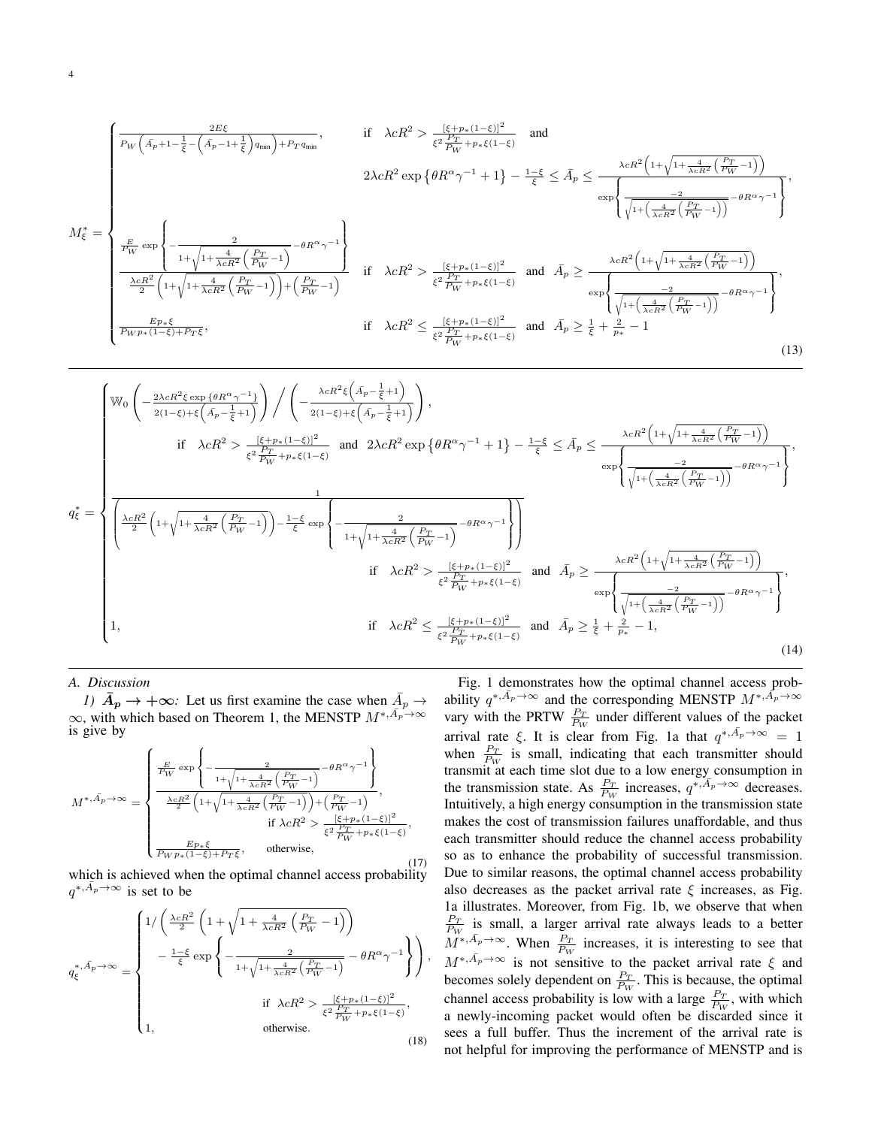$$
M_{\xi}^{*} = \begin{cases} \frac{2E\xi}{P_{W}\left(\bar{A}_{p}+1-\frac{1}{\xi}-\left(\bar{A}_{p}-1+\frac{1}{\xi}\right)q_{\min}\right)+P_{T}q_{\min}}, & \text{if } \lambda cR^{2} > \frac{\left[\xi+p_{*}(1-\xi)\right]^{2}}{\xi^{2}\frac{P_{T}}{P_{W}}+p_{*}\xi(1-\xi)} \text{ and} \\ & 2\lambda cR^{2}\exp\left\{\theta R^{\alpha}\gamma^{-1}+1\right\}-\frac{1-\xi}{\xi} \leq \bar{A}_{p} \leq \frac{\lambda cR^{2}\left(1+\sqrt{1+\frac{4}{\lambda cR^{2}}\left(\frac{P_{T}}{P_{W}}-1\right)}\right)}{\exp\left\{\frac{-2}{\sqrt{1+\left(\frac{4}{\lambda cR^{2}}\left(\frac{P_{T}}{P_{W}}-1\right)\right)}-\theta R^{\alpha}\gamma^{-1}\right\}}\right\}}, \\ \frac{E_{p}}{\exp\left\{\frac{2}{\frac{2E_{p}}{P_{W}}\exp\left\{-\frac{2}{1+\sqrt{1+\frac{4}{\lambda cR^{2}}\left(\frac{P_{T}}{P_{W}}-1\right)}-\theta R^{\alpha}\gamma^{-1}\right\}}{2\left(1+\sqrt{1+\frac{4}{\lambda cR^{2}}\left(\frac{P_{T}}{P_{W}}-1\right)}\right)+\left(\frac{P_{T}}{P_{W}}-1\right)}\right\}} \text{ if } \lambda cR^{2} > \frac{[\xi+p_{*}(1-\xi)]^{2}}{\xi^{2}\frac{P_{T}}{P_{W}}+p_{*}\xi(1-\xi)} \text{ and } \bar{A}_{p} \geq \frac{\lambda cR^{2}\left(1+\sqrt{1+\frac{4}{\lambda cR^{2}}\left(\frac{P_{T}}{P_{W}}-1\right)}\right)}{\exp\left\{\frac{-2}{\sqrt{1+\left(\frac{4}{\lambda cR^{2}}\left(\frac{P_{T}}{P_{W}}-1\right)\right)}-\theta R^{\alpha}\gamma^{-1}\right\}}\right\}}, \\ \frac{E_{p_{*}\xi}}{P_{W}p_{*}(1-\xi)+P_{T}\xi}, & \text{if } \lambda cR^{2} \leq \frac{[\xi+p_{*}(1-\xi)]^{2}}{\xi^{2}\frac{P_{T}}{P_{W}}+p_{*}\xi(1-\xi)} \text{ and }
$$

$$
q_{\xi}^{*} = \begin{cases} \mathbb{W}_{0}\left(-\frac{2\lambda c R^{2}\xi\exp\left\{\theta R^{\alpha}\gamma^{-1}\right\}}{2(1-\xi)+\xi\left(\bar{A}_{p}-\frac{1}{\xi}+1\right)}\right) / \left(-\frac{\lambda c R^{2}\xi\left(\bar{A}_{p}-\frac{1}{\xi}+1\right)}{2(1-\xi)+\xi\left(\bar{A}_{p}-\frac{1}{\xi}+1\right)}\right), \\ \text{if} \quad \lambda c R^{2} > \frac{[\xi+p_{*}(1-\xi)]^{2}}{\xi^{2}\frac{P_{T}}{P_{W}}+p_{*}\xi(1-\xi)} \quad \text{and} \quad 2\lambda c R^{2}\exp\left\{\theta R^{\alpha}\gamma^{-1}+1\right\} - \frac{1-\xi}{\xi} \leq \bar{A}_{p} \leq \frac{\lambda c R^{2}\left(1+\sqrt{1+\frac{4}{\lambda c R^{2}}\left(\frac{P_{T}}{P_{W}}-1\right)}\right)}{\exp\left\{\frac{2}{\sqrt{1+\left(\frac{4}{\lambda c R^{2}}\left(\frac{P_{T}}{P_{W}}-1\right)\right)}-\theta R^{\alpha}\gamma^{-1}\right\}}}, \\ \text{if} \quad \lambda c R^{2} > \frac{1}{\xi^{2}\frac{P_{T}}{P_{W}}+p_{*}\xi(1-\xi)} \quad \text{and} \quad \bar{A}_{p} \geq \frac{\lambda c R^{2}\left(1+\sqrt{1+\frac{4}{\lambda c R^{2}}\left(\frac{P_{T}}{P_{W}}-1\right)}\right)-\theta R^{\alpha}\gamma^{-1}}{\exp\left\{\frac{2}{\sqrt{1+\left(\frac{4}{\lambda c R^{2}}\left(\frac{P_{T}}{P_{W}}-1\right)\right)}-\theta R^{\alpha}\gamma^{-1}\right\}}}, \\ 1, \qquad \qquad \text{if} \quad \lambda c R^{2} \leq \frac{[\xi+p_{*}(1-\xi)]^{2}}{\xi^{2}\frac{P_{T}}{P_{W}}+p_{*}\xi(1-\xi)} \quad \text{and} \quad \bar{A}_{p} \geq \frac{\lambda c R^{2}\left(1+\sqrt{1+\frac{4}{\lambda c R^{2}}\left(\frac{P_{T}}{P_{W}}-1\right)}\right)}{\sqrt{1+\left(\frac{4}{\lambda c R^{2}}\left(\frac{P_{T}}{P_{W}}-
$$

*A. Discussion*

*1)*  $\bar{A}_p \rightarrow +\infty$ : Let us first examine the case when  $\bar{A}_p \rightarrow$  $\infty$ , with which based on Theorem 1, the MENSTP  $M^{*, \bar{A}_p^{\prime}\rightarrow\infty}$ is give by

$$
M^{*,\bar{A}_p \to \infty} = \begin{cases} \frac{E}{P_W} \exp \left\{ -\frac{2}{1 + \sqrt{1 + \frac{4}{\lambda cR^2} \left(\frac{P_T}{P_W} - 1\right)}} - \theta R^{\alpha} \gamma^{-1} \right\}}{\frac{\lambda cR^2}{2} \left( 1 + \sqrt{1 + \frac{4}{\lambda cR^2} \left(\frac{P_T}{P_W} - 1\right)} \right) + \left(\frac{P_T}{P_W} - 1\right)},\\qquad \qquad \text{if } \lambda cR^2 > \frac{[\xi + p_*(1-\xi)]^2}{\xi^2 \frac{P_T}{P_W} + p_* \xi (1-\xi)},\\ \frac{E p_* \xi}{P_W p_* (1-\xi) + P_T \xi}, \qquad \text{otherwise}, \end{cases} \tag{17}
$$

(17) which is achieved when the optimal channel access probability  $q^{*,\bar{A_p}\to\infty}$  is set to be

$$
q_{\xi}^{*,\bar{A}_{p}\to\infty} = \begin{cases} 1/\left(\frac{\lambda cR^{2}}{2}\left(1+\sqrt{1+\frac{4}{\lambda cR^{2}}\left(\frac{P_{T}}{P_{W}}-1\right)}\right)\right.\\ \left.-\frac{1-\xi}{\xi}\exp\left\{-\frac{2}{1+\sqrt{1+\frac{4}{\lambda cR^{2}}\left(\frac{P_{T}}{P_{W}}-1\right)}}-\theta R^{\alpha}\gamma^{-1}\right\}\right),\\ \left.\begin{array}{c} \text{if } \lambda cR^{2}>\frac{[\xi+p_{*}(1-\xi)]^{2}}{\xi^{2}\frac{P_{T}}{P_{W}}+p_{*}\xi(1-\xi)},\\ 1, \end{array}\right.\\ \text{otherwise}. \end{cases} \tag{18}
$$

Fig. 1 demonstrates how the optimal channel access probability  $q^{*,\bar{A}_p \to \infty}$  and the corresponding MENSTP  $M^{*,\bar{A}_p \to \infty}$ vary with the PRTW  $\frac{P_T}{P_W}$  under different values of the packet arrival rate  $\xi$ . It is clear from Fig. 1a that  $q^{*,\bar{A}_p \to \infty} = 1$ when  $\frac{P_T}{P_W}$  is small, indicating that each transmitter should transmit at each time slot due to a low energy consumption in the transmission state. As  $\frac{P_T}{P_W}$  increases,  $q^{*,A_p \to \infty}$  decreases. Intuitively, a high energy consumption in the transmission state makes the cost of transmission failures unaffordable, and thus each transmitter should reduce the channel access probability so as to enhance the probability of successful transmission. Due to similar reasons, the optimal channel access probability also decreases as the packet arrival rate  $\xi$  increases, as Fig. 1a illustrates. Moreover, from Fig. 1b, we observe that when  $\frac{P_T}{P_W}$  is small, a larger arrival rate always leads to a better  $M^{*,\bar{A}_p\to\infty}$ . When  $\frac{P_T}{P_W}$  increases, it is interesting to see that  $M^{*,\bar{A}_p\to\infty}$  is not sensitive to the packet arrival rate  $\xi$  and becomes solely dependent on  $\frac{P_T}{P_W}$ . This is because, the optimal channel access probability is low with a large  $\frac{P_T}{P_W}$ , with which a newly-incoming packet would often be discarded since it sees a full buffer. Thus the increment of the arrival rate is not helpful for improving the performance of MENSTP and is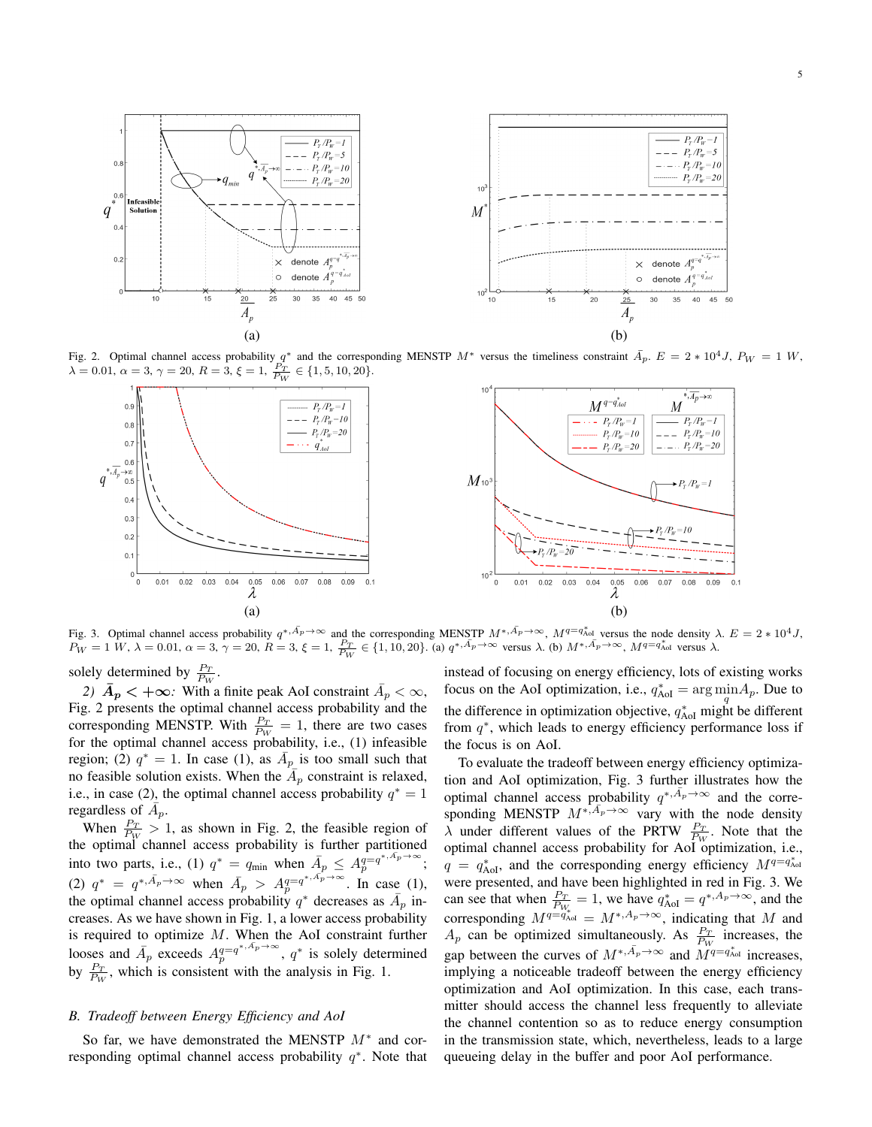

Fig. 2. Optimal channel access probability  $q^*$  and the corresponding MENSTP  $M^*$  versus the timeliness constraint  $\bar{A}_p$ .  $E = 2 * 10^4 J$ ,  $P_W = 1 W$ ,  $\lambda = 0.01, \ \alpha = 3, \ \gamma = 20, \ R = 3, \ \xi = 1, \ \frac{P_T}{P_W} \in \{1, 5, 10, 20\}.$ 



Fig. 3. Optimal channel access probability  $q^{*,\bar{A_p} \to \infty}$  and the corresponding MENSTP  $M^{*,\bar{A_p} \to \infty}$ ,  $M^{q=q_{\text{Ad}}}$  versus the node density  $\lambda$ .  $E = 2 * 10^4 J$ ,  $P_W = 1 \ W, \ \lambda = 0.01, \ \alpha = 3, \ \gamma = 20, \ R = 3, \ \xi = 1, \ \frac{P_T}{P_W} \in \{1, 10, 20\}.$  (a)  $q^{*, \overline{A}_p \to \infty}$  versus  $\lambda$ . (b)  $M^{*, \overline{A}_p \to \infty}$ ,  $M^{q = q_{\text{Ad}}}$  versus  $\lambda$ .

solely determined by  $\frac{P_T}{P_W}$ .

2)  $\bar{A}_p < +\infty$ : With a finite peak AoI constraint  $\bar{A}_p < \infty$ , Fig. 2 presents the optimal channel access probability and the corresponding MENSTP. With  $\frac{P_T}{P_W} = 1$ , there are two cases for the optimal channel access probability, i.e., (1) infeasible region; (2)  $q^* = 1$ . In case (1), as  $\overline{A}_p$  is too small such that no feasible solution exists. When the  $A_p$  constraint is relaxed, i.e., in case (2), the optimal channel access probability  $q^* = 1$ regardless of  $\overline{A}_p$ .

When  $\frac{P_T}{P_W} > 1$ , as shown in Fig. 2, the feasible region of the optimal channel access probability is further partitioned into two parts, i.e., (1)  $q^* = q_{\min}$  when  $\overline{A}_p \leq A_p^{q=q^{*,\overline{A}_p} \to \infty}$  $\overset{q=q^{*,np\rightarrow\infty}}{p};$ (2)  $q^* = q^{*, \bar{A}_p \to \infty}$  when  $\bar{A}_p > A_p^{q = q^{*, \bar{A}_p \to \infty}}$  $_p^{q=q^{*,np}\to\infty}$ . In case (1), the optimal channel access probability  $q^*$  decreases as  $\bar{A}_p$  increases. As we have shown in Fig. 1, a lower access probability is required to optimize  $M$ . When the AoI constraint further looses and  $\overline{A}_p$  exceeds  $A_p^{q=q^{*,\overline{A}_p}\to\infty}$  $q=q^{*,A_p\to\infty}$ ,  $q^*$  is solely determined by  $\frac{P_T}{P_W}$ , which is consistent with the analysis in Fig. 1.

## *B. Tradeoff between Energy Efficiency and AoI*

So far, we have demonstrated the MENSTP  $M^*$  and corresponding optimal channel access probability  $q^*$ . Note that instead of focusing on energy efficiency, lots of existing works focus on the AoI optimization, i.e.,  $q_{\text{AoI}}^* = \arg \min_q A_p$ . Due to the difference in optimization objective,  $q_{\text{AoI}}^*$  might be different from  $q^*$ , which leads to energy efficiency performance loss if the focus is on AoI.

To evaluate the tradeoff between energy efficiency optimization and AoI optimization, Fig. 3 further illustrates how the optimal channel access probability  $q^{*,\bar{A}_p\to\infty}$  and the corresponding MENSTP  $M^{*,\bar{A}_p\to\infty}$  vary with the node density  $\lambda$  under different values of the PRTW  $\frac{P_T}{P_W}$ . Note that the optimal channel access probability for AoI optimization, i.e.,  $q = q_{\text{AoI}}^*$ , and the corresponding energy efficiency  $M^{q=q_{\text{AoI}}^*}$ were presented, and have been highlighted in red in Fig. 3. We can see that when  $\frac{P_T}{P_{W_c}} = 1$ , we have  $q_{AoI}^* = q^{*,A_p \to \infty}$ , and the corresponding  $M^{q=q_{\text{AoI}}} = M^{*,A_p \to \infty}$ , indicating that M and  $A_p$  can be optimized simultaneously. As  $\frac{P_T}{P_W}$  increases, the gap between the curves of  $M^{*,\bar{A}_p \to \infty}$  and  $\tilde{M}^{q=q_{\text{AoI}}^{*}}$  increases, implying a noticeable tradeoff between the energy efficiency optimization and AoI optimization. In this case, each transmitter should access the channel less frequently to alleviate the channel contention so as to reduce energy consumption in the transmission state, which, nevertheless, leads to a large queueing delay in the buffer and poor AoI performance.